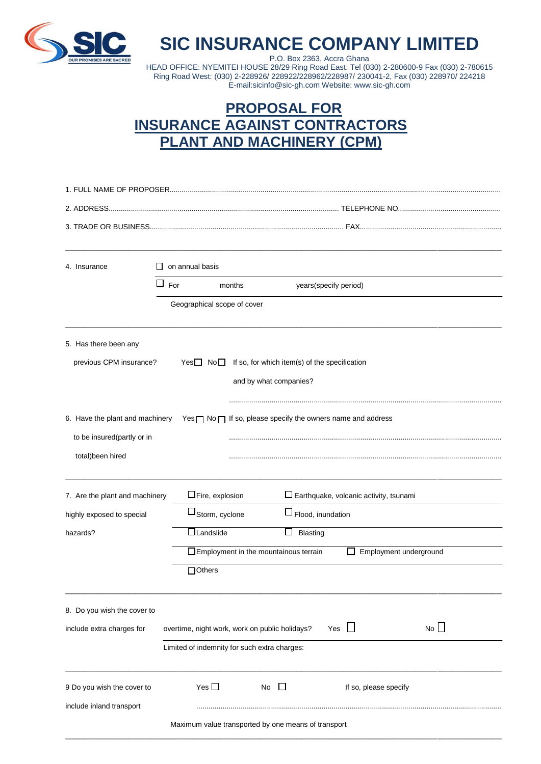

## **SIC INSURANCE COMPANY LIMITED**

P.O. Box 2363, Accra Ghana HEAD OFFICE: NYEMITEI HOUSE 28/29 Ring Road East. Tel (030) 2-280600-9 Fax (030) 2-780615 Ring Road West: (030) 2-228926/ 228922/228962/228987/ 230041-2, Fax (030) 228970/ 224218 E-mail:sicinfo@sic-gh.com Website: www.sic-gh.com

## **PROPOSAL FOR INSURANCE AGAINST CONTRACTORS PLANT AND MACHINERY (CPM)**

| 4. Insurance<br>$\perp$                                       | on annual basis                                                             |                                               |                                               |    |  |
|---------------------------------------------------------------|-----------------------------------------------------------------------------|-----------------------------------------------|-----------------------------------------------|----|--|
|                                                               | $\Box$ For<br>months                                                        |                                               | years(specify period)                         |    |  |
|                                                               | Geographical scope of cover                                                 |                                               |                                               |    |  |
| 5. Has there been any                                         |                                                                             |                                               |                                               |    |  |
| previous CPM insurance?                                       | Yes□ No□                                                                    | If so, for which item(s) of the specification |                                               |    |  |
|                                                               |                                                                             | and by what companies?                        |                                               |    |  |
| 6. Have the plant and machinery<br>to be insured(partly or in | $Yes \sqcap No \sqcap$ If so, please specify the owners name and address    |                                               |                                               |    |  |
| total)been hired                                              |                                                                             |                                               |                                               |    |  |
|                                                               |                                                                             |                                               |                                               |    |  |
| 7. Are the plant and machinery                                | $\Box$ Fire, explosion                                                      |                                               | $\Box$ Earthquake, volcanic activity, tsunami |    |  |
| highly exposed to special                                     | $\sqcup$ Storm, cyclone                                                     |                                               | $\Box$ Flood, inundation                      |    |  |
| hazards?                                                      | $\Box$ Landslide                                                            | ⊔<br><b>Blasting</b>                          |                                               |    |  |
|                                                               | $\Box$ Employment in the mountainous terrain<br>Employment underground<br>ப |                                               |                                               |    |  |
|                                                               | $\Box$ Others                                                               |                                               |                                               |    |  |
| 8. Do you wish the cover to                                   |                                                                             |                                               |                                               |    |  |
| include extra charges for                                     | overtime, night work, work on public holidays?                              |                                               | $\perp$<br>Yes                                | No |  |
|                                                               | Limited of indemnity for such extra charges:                                |                                               |                                               |    |  |
| 9 Do you wish the cover to                                    | Yes $\square$                                                               | No<br>$\Box$                                  | If so, please specify                         |    |  |
| include inland transport                                      |                                                                             |                                               |                                               |    |  |
|                                                               | Maximum value transported by one means of transport                         |                                               |                                               |    |  |

\_\_\_\_\_\_\_\_\_\_\_\_\_\_\_\_\_\_\_\_\_\_\_\_\_\_\_\_\_\_\_\_\_\_\_\_\_\_\_\_\_\_\_\_\_\_\_\_\_\_\_\_\_\_\_\_\_\_\_\_\_\_\_\_\_\_\_\_\_\_\_\_\_\_\_\_\_\_\_\_\_\_\_\_\_\_\_\_\_\_\_\_\_\_\_\_